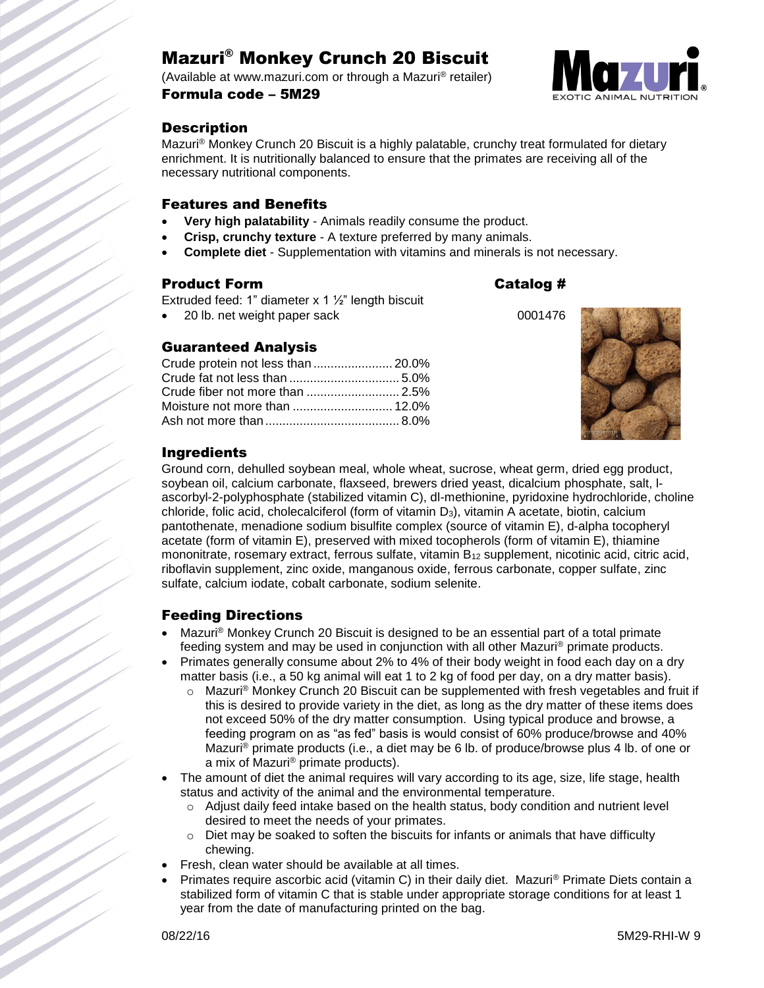# Mazuri® Monkey Crunch 20 Biscuit

(Available at www.mazuri.com or through a Mazuri® retailer) Formula code – 5M29



# **Description**

Mazuri® Monkey Crunch 20 Biscuit is a highly palatable, crunchy treat formulated for dietary enrichment. It is nutritionally balanced to ensure that the primates are receiving all of the necessary nutritional components.

### Features and Benefits

- **Very high palatability** Animals readily consume the product.
- **Crisp, crunchy texture** A texture preferred by many animals.
- **Complete diet** Supplementation with vitamins and minerals is not necessary.

### Product Form **Catalog #**

Extruded feed: 1" diameter  $x$  1  $\frac{1}{2}$ " length biscuit

20 lb. net weight paper sack 0001476

## Guaranteed Analysis

| Crude protein not less than  20.0% |  |
|------------------------------------|--|
|                                    |  |
|                                    |  |
|                                    |  |
|                                    |  |



# Ingredients

Ground corn, dehulled soybean meal, whole wheat, sucrose, wheat germ, dried egg product, soybean oil, calcium carbonate, flaxseed, brewers dried yeast, dicalcium phosphate, salt, lascorbyl-2-polyphosphate (stabilized vitamin C), dl-methionine, pyridoxine hydrochloride, choline chloride, folic acid, cholecalciferol (form of vitamin D3), vitamin A acetate, biotin, calcium pantothenate, menadione sodium bisulfite complex (source of vitamin E), d-alpha tocopheryl acetate (form of vitamin E), preserved with mixed tocopherols (form of vitamin E), thiamine mononitrate, rosemary extract, ferrous sulfate, vitamin B<sub>12</sub> supplement, nicotinic acid, citric acid, riboflavin supplement, zinc oxide, manganous oxide, ferrous carbonate, copper sulfate, zinc sulfate, calcium iodate, cobalt carbonate, sodium selenite.

## Feeding Directions

- Mazuri® Monkey Crunch 20 Biscuit is designed to be an essential part of a total primate feeding system and may be used in conjunction with all other Mazuri® primate products.
- Primates generally consume about 2% to 4% of their body weight in food each day on a dry matter basis (i.e., a 50 kg animal will eat 1 to 2 kg of food per day, on a dry matter basis).
	- o Mazuri® Monkey Crunch 20 Biscuit can be supplemented with fresh vegetables and fruit if this is desired to provide variety in the diet, as long as the dry matter of these items does not exceed 50% of the dry matter consumption. Using typical produce and browse, a feeding program on as "as fed" basis is would consist of 60% produce/browse and 40% Mazuri® primate products (i.e., a diet may be 6 lb. of produce/browse plus 4 lb. of one or a mix of Mazuri® primate products).
- The amount of diet the animal requires will vary according to its age, size, life stage, health status and activity of the animal and the environmental temperature.
	- $\circ$  Adjust daily feed intake based on the health status, body condition and nutrient level desired to meet the needs of your primates.
	- $\circ$  Diet may be soaked to soften the biscuits for infants or animals that have difficulty chewing.
- Fresh, clean water should be available at all times.
- Primates require ascorbic acid (vitamin C) in their daily diet. Mazuri® Primate Diets contain a stabilized form of vitamin C that is stable under appropriate storage conditions for at least 1 year from the date of manufacturing printed on the bag.